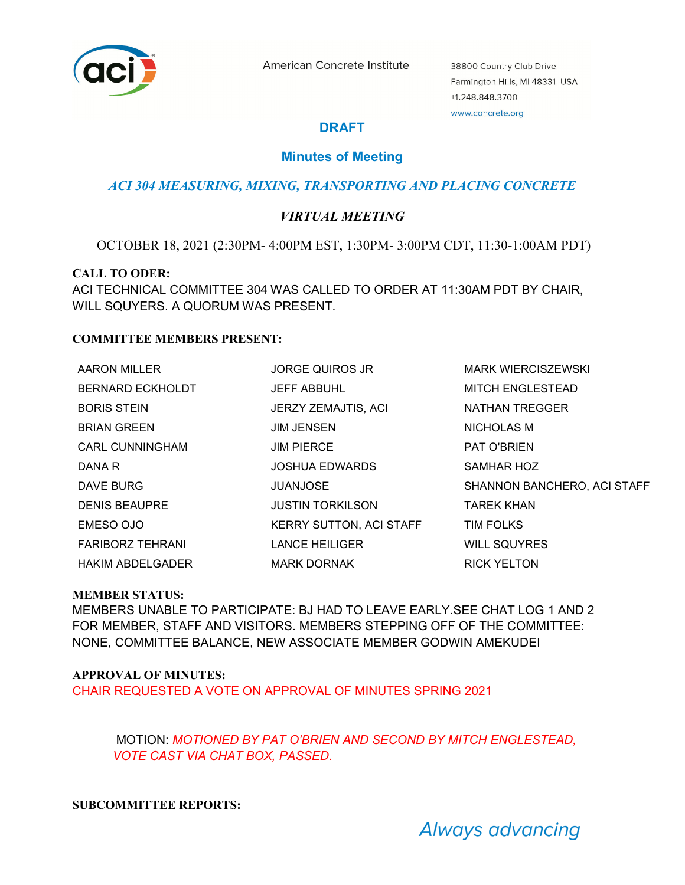

American Concrete Institute

38800 Country Club Drive Farmington Hills, MI 48331 USA +1.248.848.3700 www.concrete.org

# **DRAFT**

## **Minutes of Meeting**

### *ACI 304 MEASURING, MIXING, TRANSPORTING AND PLACING CONCRETE*

### *VIRTUAL MEETING*

OCTOBER 18, 2021 (2:30PM- 4:00PM EST, 1:30PM- 3:00PM CDT, 11:30-1:00AM PDT)

#### **CALL TO ODER:**

ACI TECHNICAL COMMITTEE 304 WAS CALLED TO ORDER AT 11:30AM PDT BY CHAIR, WILL SQUYERS. A QUORUM WAS PRESENT.

#### **COMMITTEE MEMBERS PRESENT:**

| <b>AARON MILLER</b>     | <b>JORGE QUIROS JR</b>         | <b>MARK WIERCISZEWSKI</b>   |
|-------------------------|--------------------------------|-----------------------------|
| <b>BERNARD ECKHOLDT</b> | <b>JEFF ABBUHL</b>             | <b>MITCH ENGLESTEAD</b>     |
| <b>BORIS STEIN</b>      | JERZY ZEMAJTIS, ACI            | <b>NATHAN TREGGER</b>       |
| <b>BRIAN GREEN</b>      | <b>JIM JENSEN</b>              | NICHOLAS M                  |
| CARL CUNNINGHAM         | <b>JIM PIERCE</b>              | PAT O'BRIEN                 |
| DANA R                  | <b>JOSHUA EDWARDS</b>          | <b>SAMHAR HOZ</b>           |
| DAVE BURG               | <b>JUANJOSE</b>                | SHANNON BANCHERO, ACI STAFF |
| <b>DENIS BEAUPRE</b>    | <b>JUSTIN TORKILSON</b>        | <b>TAREK KHAN</b>           |
| EMESO OJO               | <b>KERRY SUTTON, ACI STAFF</b> | <b>TIM FOLKS</b>            |
| <b>FARIBORZ TEHRANI</b> | <b>LANCE HEILIGER</b>          | <b>WILL SQUYRES</b>         |
| <b>HAKIM ABDELGADER</b> | <b>MARK DORNAK</b>             | <b>RICK YELTON</b>          |

#### **MEMBER STATUS:**

MEMBERS UNABLE TO PARTICIPATE: BJ HAD TO LEAVE EARLY.SEE CHAT LOG 1 AND 2 FOR MEMBER, STAFF AND VISITORS. MEMBERS STEPPING OFF OF THE COMMITTEE: NONE, COMMITTEE BALANCE, NEW ASSOCIATE MEMBER GODWIN AMEKUDEI

#### **APPROVAL OF MINUTES:**

CHAIR REQUESTED A VOTE ON APPROVAL OF MINUTES SPRING 2021

MOTION: *MOTIONED BY PAT O'BRIEN AND SECOND BY MITCH ENGLESTEAD, VOTE CAST VIA CHAT BOX, PASSED.* 

#### **SUBCOMMITTEE REPORTS:**

Always advancing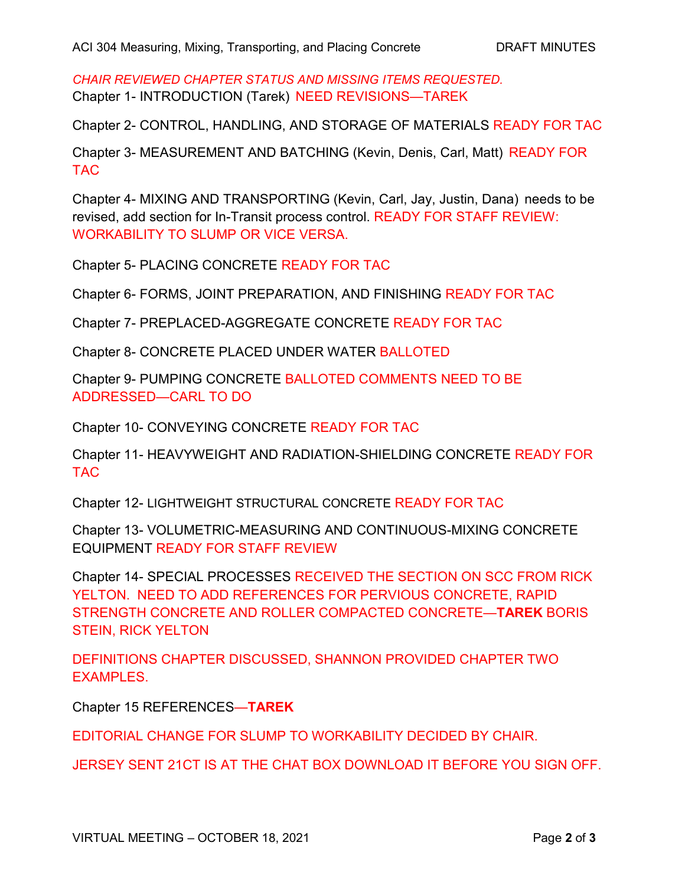*CHAIR REVIEWED CHAPTER STATUS AND MISSING ITEMS REQUESTED.*  Chapter 1- INTRODUCTION (Tarek) NEED REVISIONS—TAREK

Chapter 2- CONTROL, HANDLING, AND STORAGE OF MATERIALS READY FOR TAC

Chapter 3- MEASUREMENT AND BATCHING (Kevin, Denis, Carl, Matt) READY FOR TAC

Chapter 4- MIXING AND TRANSPORTING (Kevin, Carl, Jay, Justin, Dana) needs to be revised, add section for In-Transit process control. READY FOR STAFF REVIEW: WORKABILITY TO SLUMP OR VICE VERSA.

Chapter 5- PLACING CONCRETE READY FOR TAC

Chapter 6- FORMS, JOINT PREPARATION, AND FINISHING READY FOR TAC

Chapter 7- PREPLACED-AGGREGATE CONCRETE READY FOR TAC

Chapter 8- CONCRETE PLACED UNDER WATER BALLOTED

Chapter 9- PUMPING CONCRETE BALLOTED COMMENTS NEED TO BE ADDRESSED—CARL TO DO

Chapter 10- CONVEYING CONCRETE READY FOR TAC

Chapter 11- HEAVYWEIGHT AND RADIATION-SHIELDING CONCRETE READY FOR TAC

Chapter 12- LIGHTWEIGHT STRUCTURAL CONCRETE READY FOR TAC

Chapter 13- VOLUMETRIC-MEASURING AND CONTINUOUS-MIXING CONCRETE EQUIPMENT READY FOR STAFF REVIEW

Chapter 14- SPECIAL PROCESSES RECEIVED THE SECTION ON SCC FROM RICK YELTON. NEED TO ADD REFERENCES FOR PERVIOUS CONCRETE, RAPID STRENGTH CONCRETE AND ROLLER COMPACTED CONCRETE—**TAREK** BORIS STEIN, RICK YELTON

DEFINITIONS CHAPTER DISCUSSED, SHANNON PROVIDED CHAPTER TWO EXAMPLES.

Chapter 15 REFERENCES—**TAREK** 

EDITORIAL CHANGE FOR SLUMP TO WORKABILITY DECIDED BY CHAIR.

JERSEY SENT 21CT IS AT THE CHAT BOX DOWNLOAD IT BEFORE YOU SIGN OFF.